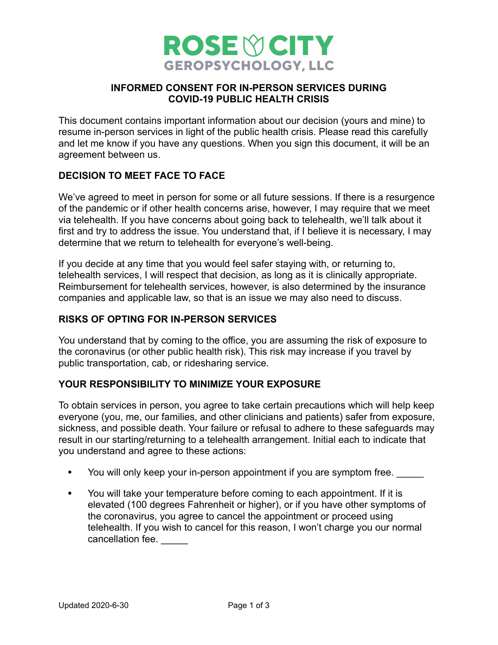

## **INFORMED CONSENT FOR IN-PERSON SERVICES DURING COVID-19 PUBLIC HEALTH CRISIS**

This document contains important information about our decision (yours and mine) to resume in-person services in light of the public health crisis. Please read this carefully and let me know if you have any questions. When you sign this document, it will be an agreement between us.

## **DECISION TO MEET FACE TO FACE**

We've agreed to meet in person for some or all future sessions. If there is a resurgence of the pandemic or if other health concerns arise, however, I may require that we meet via telehealth. If you have concerns about going back to telehealth, we'll talk about it first and try to address the issue. You understand that, if I believe it is necessary, I may determine that we return to telehealth for everyone's well-being.

If you decide at any time that you would feel safer staying with, or returning to, telehealth services, I will respect that decision, as long as it is clinically appropriate. Reimbursement for telehealth services, however, is also determined by the insurance companies and applicable law, so that is an issue we may also need to discuss.

### **RISKS OF OPTING FOR IN-PERSON SERVICES**

You understand that by coming to the office, you are assuming the risk of exposure to the coronavirus (or other public health risk). This risk may increase if you travel by public transportation, cab, or ridesharing service.

### **YOUR RESPONSIBILITY TO MINIMIZE YOUR EXPOSURE**

To obtain services in person, you agree to take certain precautions which will help keep everyone (you, me, our families, and other clinicians and patients) safer from exposure, sickness, and possible death. Your failure or refusal to adhere to these safeguards may result in our starting/returning to a telehealth arrangement. Initial each to indicate that you understand and agree to these actions:

- You will only keep your in-person appointment if you are symptom free.
- You will take your temperature before coming to each appointment. If it is elevated (100 degrees Fahrenheit or higher), or if you have other symptoms of the coronavirus, you agree to cancel the appointment or proceed using telehealth. If you wish to cancel for this reason, I won't charge you our normal cancellation fee.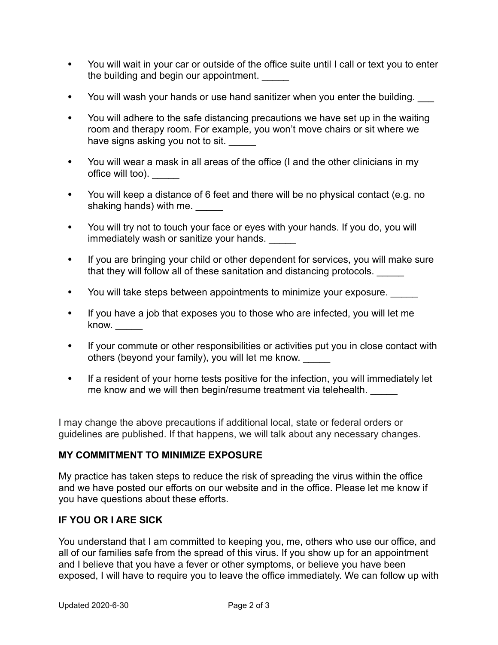- You will wait in your car or outside of the office suite until I call or text you to enter the building and begin our appointment.
- You will wash your hands or use hand sanitizer when you enter the building.
- You will adhere to the safe distancing precautions we have set up in the waiting room and therapy room. For example, you won't move chairs or sit where we have signs asking you not to sit.
- You will wear a mask in all areas of the office (I and the other clinicians in my office will too). \_\_\_\_\_
- You will keep a distance of 6 feet and there will be no physical contact (e.g. no shaking hands) with me.
- You will try not to touch your face or eyes with your hands. If you do, you will immediately wash or sanitize your hands.
- If you are bringing your child or other dependent for services, you will make sure that they will follow all of these sanitation and distancing protocols.
- You will take steps between appointments to minimize your exposure.
- If you have a job that exposes you to those who are infected, you will let me know. \_\_\_\_\_
- If your commute or other responsibilities or activities put you in close contact with others (beyond your family), you will let me know. \_\_\_\_\_
- If a resident of your home tests positive for the infection, you will immediately let me know and we will then begin/resume treatment via telehealth.

I may change the above precautions if additional local, state or federal orders or guidelines are published. If that happens, we will talk about any necessary changes.

# **MY COMMITMENT TO MINIMIZE EXPOSURE**

My practice has taken steps to reduce the risk of spreading the virus within the office and we have posted our efforts on our website and in the office. Please let me know if you have questions about these efforts.

# **IF YOU OR I ARE SICK**

You understand that I am committed to keeping you, me, others who use our office, and all of our families safe from the spread of this virus. If you show up for an appointment and I believe that you have a fever or other symptoms, or believe you have been exposed, I will have to require you to leave the office immediately. We can follow up with